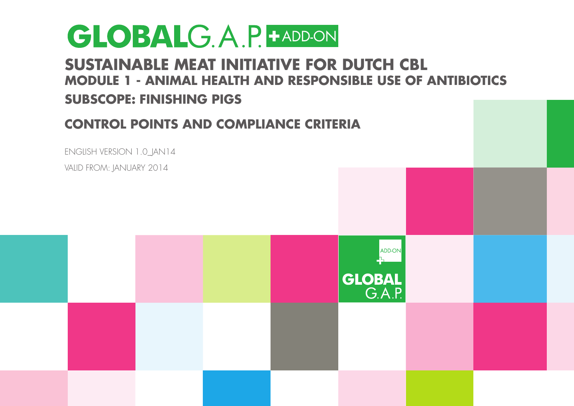#### **Sustainable Meat Initiative for Dutch CBL Module 1 - Animal HEALTH AND RESPONSIBLE USE OF ANTIBIOTICS**

#### **Subscope: Finishing Pigs**

#### **Control Points and Compliance Criteria**

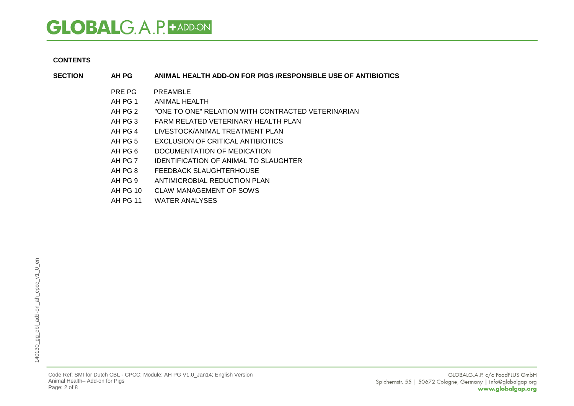#### **CONTENTS**

- **SECTION AH PG ANIMAL HEALTH ADD-ON FOR PIGS /RESPONSIBLE USE OF ANTIBIOTICS**
	- PRE PG PREAMBLE
	- AH PG 1 ANIMAL HEALTH
	- AH PG 2 "ONE TO ONE" RELATION WITH CONTRACTED VETERINARIAN
	- AH PG 3 FARM RELATED VETERINARY HEALTH PLAN
	- AH PG 4 LIVESTOCK/ANIMAL TREATMENT PLAN
	- AH PG 5 EXCLUSION OF CRITICAL ANTIBIOTICS
	- AH PG 6 DOCUMENTATION OF MEDICATION
	- AH PG 7 IDENTIFICATION OF ANIMAL TO SLAUGHTER
	- AH PG 8 FEEDBACK SLAUGHTERHOUSE
	- AH PG 9 ANTIMICROBIAL REDUCTION PLAN
	- AH PG 10 CLAW MANAGEMENT OF SOWS
	- AH PG 11 WATER ANALYSES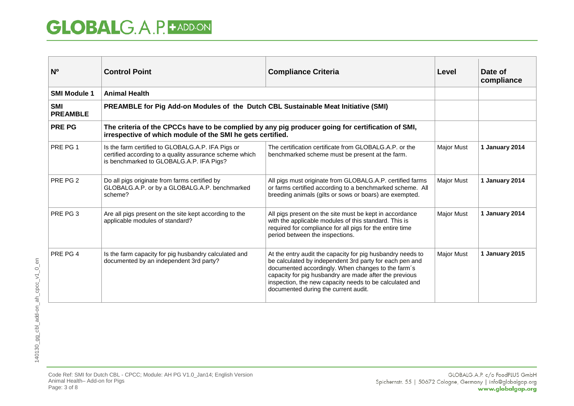| N <sup>o</sup>                | <b>Control Point</b>                                                                                                                                                                                                                                                                           | <b>Compliance Criteria</b>                                                                                                                                                                                                                                                                                                               | Level             | Date of<br>compliance |
|-------------------------------|------------------------------------------------------------------------------------------------------------------------------------------------------------------------------------------------------------------------------------------------------------------------------------------------|------------------------------------------------------------------------------------------------------------------------------------------------------------------------------------------------------------------------------------------------------------------------------------------------------------------------------------------|-------------------|-----------------------|
| <b>SMI Module 1</b>           | <b>Animal Health</b>                                                                                                                                                                                                                                                                           |                                                                                                                                                                                                                                                                                                                                          |                   |                       |
| <b>SMI</b><br><b>PREAMBLE</b> | PREAMBLE for Pig Add-on Modules of the Dutch CBL Sustainable Meat Initiative (SMI)                                                                                                                                                                                                             |                                                                                                                                                                                                                                                                                                                                          |                   |                       |
| <b>PRE PG</b>                 | The criteria of the CPCCs have to be complied by any pig producer going for certification of SMI,<br>irrespective of which module of the SMI he gets certified.                                                                                                                                |                                                                                                                                                                                                                                                                                                                                          |                   |                       |
| PRE PG 1                      | Is the farm certified to GLOBALG.A.P. IFA Pigs or<br>The certification certificate from GLOBALG.A.P. or the<br>certified according to a quality assurance scheme which<br>benchmarked scheme must be present at the farm.<br>is benchmarked to GLOBALG.A.P. IFA Pigs?                          |                                                                                                                                                                                                                                                                                                                                          | <b>Major Must</b> | 1 January 2014        |
| PRE PG 2                      | Do all pigs originate from farms certified by<br>All pigs must originate from GLOBALG.A.P. certified farms<br>GLOBALG.A.P. or by a GLOBALG.A.P. benchmarked<br>or farms certified according to a benchmarked scheme. All<br>scheme?<br>breeding animals (gilts or sows or boars) are exempted. |                                                                                                                                                                                                                                                                                                                                          | Major Must        | 1 January 2014        |
| PRE PG 3                      | Are all pigs present on the site kept according to the<br>applicable modules of standard?                                                                                                                                                                                                      | All pigs present on the site must be kept in accordance<br>with the applicable modules of this standard. This is<br>required for compliance for all pigs for the entire time<br>period between the inspections.                                                                                                                          | <b>Major Must</b> | 1 January 2014        |
| PRE PG 4                      | Is the farm capacity for pig husbandry calculated and<br>documented by an independent 3rd party?                                                                                                                                                                                               | At the entry audit the capacity for pig husbandry needs to<br>be calculated by independent 3rd party for each pen and<br>documented accordingly. When changes to the farm's<br>capacity for pig husbandry are made after the previous<br>inspection, the new capacity needs to be calculated and<br>documented during the current audit. | <b>Major Must</b> | 1 January 2015        |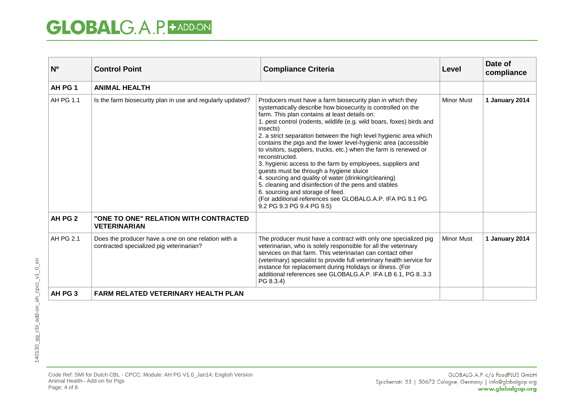| N <sub>0</sub> | <b>Control Point</b>                                                                            | <b>Compliance Criteria</b>                                                                                                                                                                                                                                                                                                                                                                                                                                                                                                                                                                                                                                                                                                                                                                                                                            |                   | Date of<br>compliance |
|----------------|-------------------------------------------------------------------------------------------------|-------------------------------------------------------------------------------------------------------------------------------------------------------------------------------------------------------------------------------------------------------------------------------------------------------------------------------------------------------------------------------------------------------------------------------------------------------------------------------------------------------------------------------------------------------------------------------------------------------------------------------------------------------------------------------------------------------------------------------------------------------------------------------------------------------------------------------------------------------|-------------------|-----------------------|
| AH PG 1        | <b>ANIMAL HEALTH</b>                                                                            |                                                                                                                                                                                                                                                                                                                                                                                                                                                                                                                                                                                                                                                                                                                                                                                                                                                       |                   |                       |
| AH PG 1.1      | Is the farm biosecurity plan in use and regularly updated?                                      | Producers must have a farm biosecurity plan in which they<br>systematically describe how biosecurity is controlled on the<br>farm. This plan contains at least details on:<br>1. pest control (rodents, wildlife (e.g. wild boars, foxes) birds and<br>insects)<br>2. a strict separation between the high level hygienic area which<br>contains the pigs and the lower level-hygienic area (accessible<br>to visitors, suppliers, trucks, etc.) when the farm is renewed or<br>reconstructed.<br>3. hygienic access to the farm by employees, suppliers and<br>guests must be through a hygiene sluice<br>4. sourcing and quality of water (drinking/cleaning)<br>5. cleaning and disinfection of the pens and stables<br>6. sourcing and storage of feed.<br>(For additional references see GLOBALG.A.P. IFA PG 9.1 PG<br>9.2 PG 9.3 PG 9.4 PG 9.5) | <b>Minor Must</b> | 1 January 2014        |
| AH PG 2        | "ONE TO ONE" RELATION WITH CONTRACTED<br><b>VETERINARIAN</b>                                    |                                                                                                                                                                                                                                                                                                                                                                                                                                                                                                                                                                                                                                                                                                                                                                                                                                                       |                   |                       |
| AH PG 2.1      | Does the producer have a one on one relation with a<br>contracted specialized pig veterinarian? | The producer must have a contract with only one specialized pig<br>veterinarian, who is solely responsible for all the veterinary<br>services on that farm. This veterinarian can contact other<br>(veterinary) specialist to provide full veterinary health service for<br>instance for replacement during Holidays or illness. (For<br>additional references see GLOBALG.A.P. IFA LB 6.1, PG 83.3<br>PG 8.3.4)                                                                                                                                                                                                                                                                                                                                                                                                                                      | <b>Minor Must</b> | 1 January 2014        |
| AH PG 3        | <b>FARM RELATED VETERINARY HEALTH PLAN</b>                                                      |                                                                                                                                                                                                                                                                                                                                                                                                                                                                                                                                                                                                                                                                                                                                                                                                                                                       |                   |                       |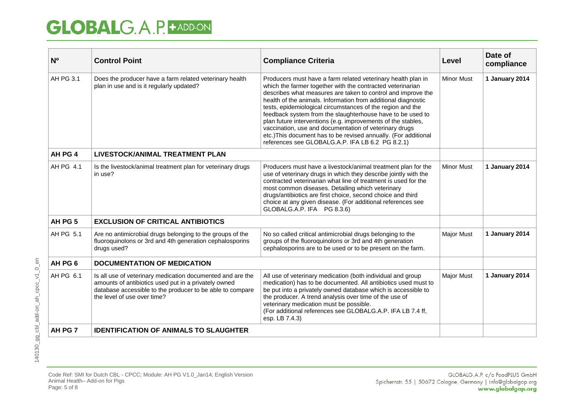| N <sub>0</sub> | <b>Control Point</b>                                                                                                                                                                                                                                                                                                         | <b>Compliance Criteria</b>                                                                                                                                                                                                                                                                                                                                                                                                                                                                                                                                                                                                               | Level             | Date of<br>compliance |
|----------------|------------------------------------------------------------------------------------------------------------------------------------------------------------------------------------------------------------------------------------------------------------------------------------------------------------------------------|------------------------------------------------------------------------------------------------------------------------------------------------------------------------------------------------------------------------------------------------------------------------------------------------------------------------------------------------------------------------------------------------------------------------------------------------------------------------------------------------------------------------------------------------------------------------------------------------------------------------------------------|-------------------|-----------------------|
| AH PG 3.1      | Does the producer have a farm related veterinary health<br>plan in use and is it regularly updated?                                                                                                                                                                                                                          | Producers must have a farm related veterinary health plan in<br>which the farmer together with the contracted veterinarian<br>describes what measures are taken to control and improve the<br>health of the animals. Information from additional diagnostic<br>tests, epidemiological circumstances of the region and the<br>feedback system from the slaughterhouse have to be used to<br>plan future interventions (e.g. improvements of the stables,<br>vaccination, use and documentation of veterinary drugs<br>etc.) This document has to be revised annually. (For additional<br>references see GLOBALG.A.P. IFA LB 6.2 PG 8.2.1) | <b>Minor Must</b> | 1 January 2014        |
| AH PG 4        | <b>LIVESTOCK/ANIMAL TREATMENT PLAN</b>                                                                                                                                                                                                                                                                                       |                                                                                                                                                                                                                                                                                                                                                                                                                                                                                                                                                                                                                                          |                   |                       |
| AH PG 4.1      | Is the livestock/animal treatment plan for veterinary drugs<br>in use?                                                                                                                                                                                                                                                       | Producers must have a livestock/animal treatment plan for the<br>use of veterinary drugs in which they describe jointly with the<br>contracted veterinarian what line of treatment is used for the<br>most common diseases. Detailing which veterinary<br>drugs/antibiotics are first choice, second choice and third<br>choice at any given disease. (For additional references see<br>GLOBALG.A.P. IFA PG 8.3.6)                                                                                                                                                                                                                       | <b>Minor Must</b> | 1 January 2014        |
| AH PG 5        | <b>EXCLUSION OF CRITICAL ANTIBIOTICS</b>                                                                                                                                                                                                                                                                                     |                                                                                                                                                                                                                                                                                                                                                                                                                                                                                                                                                                                                                                          |                   |                       |
| AH PG 5.1      | Are no antimicrobial drugs belonging to the groups of the<br>No so called critical antimicrobial drugs belonging to the<br>fluoroquinolons or 3rd and 4th generation cephalosporins<br>groups of the fluoroquinolons or 3rd and 4th generation<br>cephalosporins are to be used or to be present on the farm.<br>drugs used? |                                                                                                                                                                                                                                                                                                                                                                                                                                                                                                                                                                                                                                          | <b>Major Must</b> | 1 January 2014        |
| AH PG 6        | <b>DOCUMENTATION OF MEDICATION</b>                                                                                                                                                                                                                                                                                           |                                                                                                                                                                                                                                                                                                                                                                                                                                                                                                                                                                                                                                          |                   |                       |
| AH PG 6.1      | Is all use of veterinary medication documented and are the<br>amounts of antibiotics used put in a privately owned<br>database accessible to the producer to be able to compare<br>the level of use over time?                                                                                                               | All use of veterinary medication (both individual and group<br>medication) has to be documented. All antibiotics used must to<br>be put into a privately owned database which is accessible to<br>the producer. A trend analysis over time of the use of<br>veterinary medication must be possible.<br>(For additional references see GLOBALG.A.P. IFA LB 7.4 ff,<br>esp. LB 7.4.3)                                                                                                                                                                                                                                                      |                   | 1 January 2014        |
| AH PG 7        | <b>IDENTIFICATION OF ANIMALS TO SLAUGHTER</b>                                                                                                                                                                                                                                                                                |                                                                                                                                                                                                                                                                                                                                                                                                                                                                                                                                                                                                                                          |                   |                       |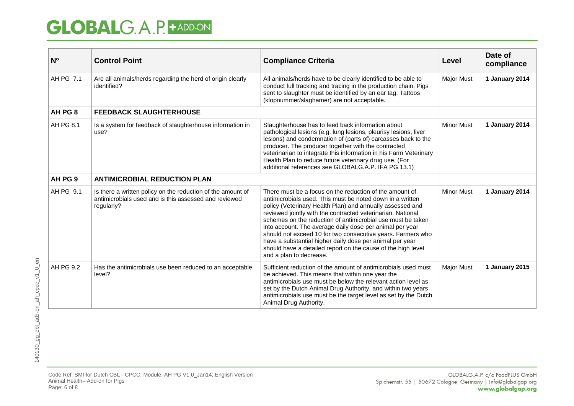| N <sup>o</sup> | <b>Control Point</b>                                                                                                                                                                                                                                                                                                                                                                                                                                                                                                                                                                                                                                                                                                                    | <b>Compliance Criteria</b>                                                                                                                                                                                                                                                                                                                                                                                                                               | Level             | Date of<br>compliance |
|----------------|-----------------------------------------------------------------------------------------------------------------------------------------------------------------------------------------------------------------------------------------------------------------------------------------------------------------------------------------------------------------------------------------------------------------------------------------------------------------------------------------------------------------------------------------------------------------------------------------------------------------------------------------------------------------------------------------------------------------------------------------|----------------------------------------------------------------------------------------------------------------------------------------------------------------------------------------------------------------------------------------------------------------------------------------------------------------------------------------------------------------------------------------------------------------------------------------------------------|-------------------|-----------------------|
| AH PG 7.1      | Are all animals/herds regarding the herd of origin clearly<br>identified?                                                                                                                                                                                                                                                                                                                                                                                                                                                                                                                                                                                                                                                               | All animals/herds have to be clearly identified to be able to<br>conduct full tracking and tracing in the production chain. Pigs<br>sent to slaughter must be identified by an ear tag. Tattoos<br>(klopnummer/slaghamer) are not acceptable.                                                                                                                                                                                                            | <b>Major Must</b> | 1 January 2014        |
| AH PG 8        | <b>FEEDBACK SLAUGHTERHOUSE</b>                                                                                                                                                                                                                                                                                                                                                                                                                                                                                                                                                                                                                                                                                                          |                                                                                                                                                                                                                                                                                                                                                                                                                                                          |                   |                       |
| AH PG 8.1      | Is a system for feedback of slaughterhouse information in<br>use?                                                                                                                                                                                                                                                                                                                                                                                                                                                                                                                                                                                                                                                                       | <b>Minor Must</b><br>Slaughterhouse has to feed back information about<br>pathological lesions (e.g. lung lesions, pleurisy lesions, liver<br>lesions) and condemnation of (parts of) carcasses back to the<br>producer. The producer together with the contracted<br>veterinarian to integrate this information in his Farm Veterinary<br>Health Plan to reduce future veterinary drug use. (For<br>additional references see GLOBALG.A.P. IFA PG 13.1) |                   | 1 January 2014        |
| AH PG 9        | <b>ANTIMICROBIAL REDUCTION PLAN</b>                                                                                                                                                                                                                                                                                                                                                                                                                                                                                                                                                                                                                                                                                                     |                                                                                                                                                                                                                                                                                                                                                                                                                                                          |                   |                       |
| AH PG 9.1      | Is there a written policy on the reduction of the amount of<br>There must be a focus on the reduction of the amount of<br>antimicrobials used and is this assessed and reviewed<br>antimicrobials used. This must be noted down in a written<br>policy (Veterinary Health Plan) and annually assessed and<br>regularly?<br>reviewed jointly with the contracted veterinarian. National<br>schemes on the reduction of antimicrobial use must be taken<br>into account. The average daily dose per animal per year<br>should not exceed 10 for two consecutive years. Farmers who<br>have a substantial higher daily dose per animal per year<br>should have a detailed report on the cause of the high level<br>and a plan to decrease. |                                                                                                                                                                                                                                                                                                                                                                                                                                                          | <b>Minor Must</b> | 1 January 2014        |
| AH PG 9.2      | Has the antimicrobials use been reduced to an acceptable<br>level?                                                                                                                                                                                                                                                                                                                                                                                                                                                                                                                                                                                                                                                                      | Sufficient reduction of the amount of antimicrobials used must<br>be achieved. This means that within one year the<br>antimicrobials use must be below the relevant action level as<br>set by the Dutch Animal Drug Authority, and within two years<br>antimicrobials use must be the target level as set by the Dutch<br>Animal Drug Authority.                                                                                                         |                   | 1 January 2015        |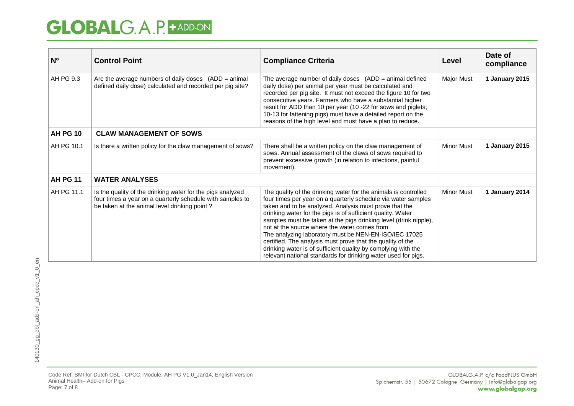| N <sub>0</sub>  | <b>Control Point</b>                                                                                                                                                    | <b>Compliance Criteria</b>                                                                                                                                                                                                                                                                                                                                                                                                                                                                                                                                                                                                                                   | Level             | Date of<br>compliance |
|-----------------|-------------------------------------------------------------------------------------------------------------------------------------------------------------------------|--------------------------------------------------------------------------------------------------------------------------------------------------------------------------------------------------------------------------------------------------------------------------------------------------------------------------------------------------------------------------------------------------------------------------------------------------------------------------------------------------------------------------------------------------------------------------------------------------------------------------------------------------------------|-------------------|-----------------------|
| AH PG 9.3       | Are the average numbers of daily doses $(ADD = animal)$<br>defined daily dose) calculated and recorded per pig site?                                                    | The average number of daily doses $(ADD = animal defined)$<br>daily dose) per animal per year must be calculated and<br>recorded per pig site. It must not exceed the figure 10 for two<br>consecutive years. Farmers who have a substantial higher<br>result for ADD than 10 per year (10 -22 for sows and piglets;<br>10-13 for fattening pigs) must have a detailed report on the<br>reasons of the high level and must have a plan to reduce.                                                                                                                                                                                                            | <b>Major Must</b> | 1 January 2015        |
| <b>AH PG 10</b> | <b>CLAW MANAGEMENT OF SOWS</b>                                                                                                                                          |                                                                                                                                                                                                                                                                                                                                                                                                                                                                                                                                                                                                                                                              |                   |                       |
| AH PG 10.1      | Is there a written policy for the claw management of sows?                                                                                                              | There shall be a written policy on the claw management of<br>sows. Annual assessment of the claws of sows required to<br>prevent excessive growth (in relation to infections, painful<br>movement).                                                                                                                                                                                                                                                                                                                                                                                                                                                          | <b>Minor Must</b> | 1 January 2015        |
| <b>AH PG 11</b> | <b>WATER ANALYSES</b>                                                                                                                                                   |                                                                                                                                                                                                                                                                                                                                                                                                                                                                                                                                                                                                                                                              |                   |                       |
| AH PG 11.1      | Is the quality of the drinking water for the pigs analyzed<br>four times a year on a quarterly schedule with samples to<br>be taken at the animal level drinking point? | The quality of the drinking water for the animals is controlled<br><b>Minor Must</b><br>four times per year on a quarterly schedule via water samples<br>taken and to be analyzed. Analysis must prove that the<br>drinking water for the pigs is of sufficient quality. Water<br>samples must be taken at the pigs drinking level (drink nipple),<br>not at the source where the water comes from.<br>The analyzing laboratory must be NEN-EN-ISO/IEC 17025<br>certified. The analysis must prove that the quality of the<br>drinking water is of sufficient quality by complying with the<br>relevant national standards for drinking water used for pigs. |                   | 1 January 2014        |